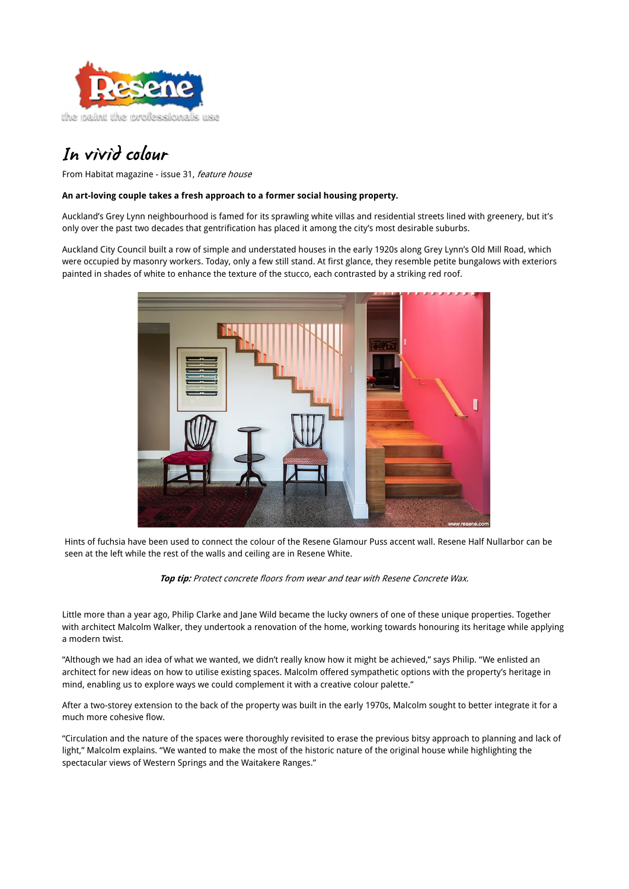

# In vivid colour

From Habitat magazine - issue 31, feature house

#### **An art-loving couple takes a fresh approach to a former social housing property.**

Auckland's Grey Lynn neighbourhood is famed for its sprawling white villas and residential streets lined with greenery, but it's only over the past two decades that gentrification has placed it among the city's most desirable suburbs.

Auckland City Council built a row of simple and understated houses in the early 1920s along Grey Lynn's Old Mill Road, which were occupied by masonry workers. Today, only a few still stand. At first glance, they resemble petite bungalows with exteriors painted in shades of white to enhance the texture of the stucco, each contrasted by a striking red roof.



Hints of fuchsia have been used to connect the colour of the Resene Glamour Puss accent wall. Resene Half Nullarbor can be seen at the left while the rest of the walls and ceiling are in Resene White.

**Top tip:** Protect concrete floors from wear and tear with Resene Concrete Wax.

Little more than a year ago, Philip Clarke and Jane Wild became the lucky owners of one of these unique properties. Together with architect Malcolm Walker, they undertook a renovation of the home, working towards honouring its heritage while applying a modern twist.

"Although we had an idea of what we wanted, we didn't really know how it might be achieved," says Philip. "We enlisted an architect for new ideas on how to utilise existing spaces. Malcolm offered sympathetic options with the property's heritage in mind, enabling us to explore ways we could complement it with a creative colour palette."

After a two-storey extension to the back of the property was built in the early 1970s, Malcolm sought to better integrate it for a much more cohesive flow.

"Circulation and the nature of the spaces were thoroughly revisited to erase the previous bitsy approach to planning and lack of light," Malcolm explains. "We wanted to make the most of the historic nature of the original house while highlighting the spectacular views of Western Springs and the Waitakere Ranges."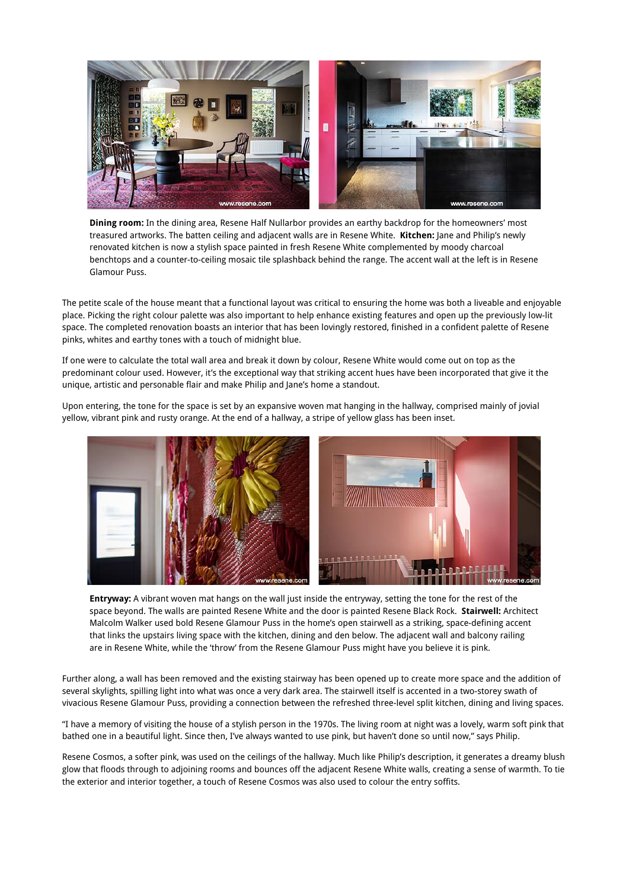

**Dining room:** In the dining area, Resene Half Nullarbor provides an earthy backdrop for the homeowners' most treasured artworks. The batten ceiling and adjacent walls are in Resene White. **Kitchen:** Jane and Philip's newly renovated kitchen is now a stylish space painted in fresh Resene White complemented by moody charcoal benchtops and a counter-to-ceiling mosaic tile splashback behind the range. The accent wall at the left is in Resene Glamour Puss.

The petite scale of the house meant that a functional layout was critical to ensuring the home was both a liveable and enjoyable place. Picking the right colour palette was also important to help enhance existing features and open up the previously low-lit space. The completed renovation boasts an interior that has been lovingly restored, finished in a confident palette of Resene pinks, whites and earthy tones with a touch of midnight blue.

If one were to calculate the total wall area and break it down by colour, Resene White would come out on top as the predominant colour used. However, it's the exceptional way that striking accent hues have been incorporated that give it the unique, artistic and personable flair and make Philip and Jane's home a standout.

Upon entering, the tone for the space is set by an expansive woven mat hanging in the hallway, comprised mainly of jovial yellow, vibrant pink and rusty orange. At the end of a hallway, a stripe of yellow glass has been inset.



**Entryway:** A vibrant woven mat hangs on the wall just inside the entryway, setting the tone for the rest of the space beyond. The walls are painted Resene White and the door is painted Resene Black Rock. **Stairwell:** Architect Malcolm Walker used bold Resene Glamour Puss in the home's open stairwell as a striking, space-defining accent that links the upstairs living space with the kitchen, dining and den below. The adjacent wall and balcony railing are in Resene White, while the 'throw' from the Resene Glamour Puss might have you believe it is pink.

Further along, a wall has been removed and the existing stairway has been opened up to create more space and the addition of several skylights, spilling light into what was once a very dark area. The stairwell itself is accented in a two-storey swath of vivacious Resene Glamour Puss, providing a connection between the refreshed three-level split kitchen, dining and living spaces.

"I have a memory of visiting the house of a stylish person in the 1970s. The living room at night was a lovely, warm soft pink that bathed one in a beautiful light. Since then, I've always wanted to use pink, but haven't done so until now," says Philip.

Resene Cosmos, a softer pink, was used on the ceilings of the hallway. Much like Philip's description, it generates a dreamy blush glow that floods through to adjoining rooms and bounces off the adjacent Resene White walls, creating a sense of warmth. To tie the exterior and interior together, a touch of Resene Cosmos was also used to colour the entry soffits.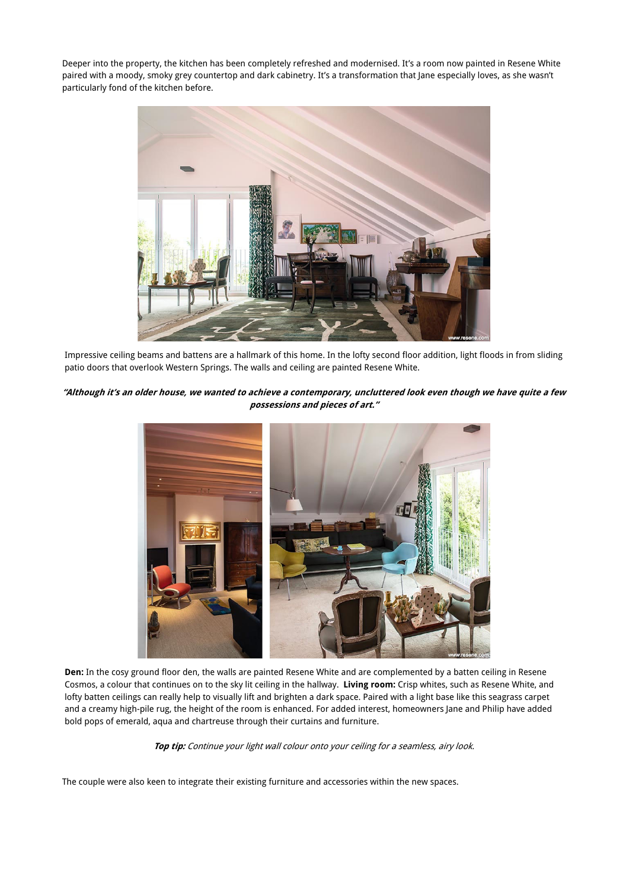Deeper into the property, the kitchen has been completely refreshed and modernised. It's a room now painted in Resene White paired with a moody, smoky grey countertop and dark cabinetry. It's a transformation that Jane especially loves, as she wasn't particularly fond of the kitchen before.



Impressive ceiling beams and battens are a hallmark of this home. In the lofty second floor addition, light floods in from sliding patio doors that overlook Western Springs. The walls and ceiling are painted Resene White.

#### **"Although it's an older house, we wanted to achieve a contemporary, uncluttered look even though we have quite a few possessions and pieces of art."**



**Den:** In the cosy ground floor den, the walls are painted Resene White and are complemented by a batten ceiling in Resene Cosmos, a colour that continues on to the sky lit ceiling in the hallway. **Living room:** Crisp whites, such as Resene White, and lofty batten ceilings can really help to visually lift and brighten a dark space. Paired with a light base like this seagrass carpet and a creamy high-pile rug, the height of the room is enhanced. For added interest, homeowners Jane and Philip have added bold pops of emerald, aqua and chartreuse through their curtains and furniture.

**Top tip:** Continue your light wall colour onto your ceiling for a seamless, airy look.

The couple were also keen to integrate their existing furniture and accessories within the new spaces.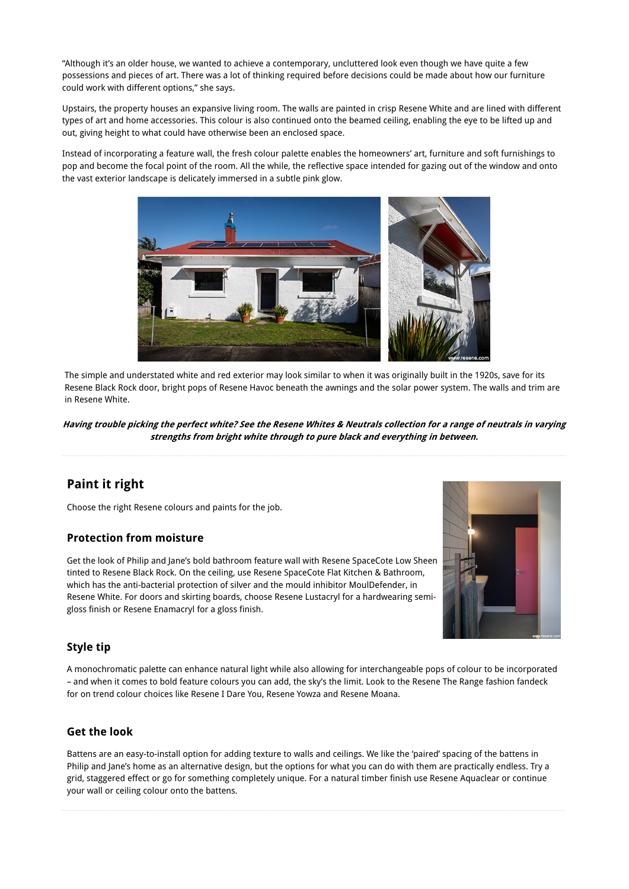"Although it's an older house, we wanted to achieve a contemporary, uncluttered look even though we have quite a few possessions and pieces of art. There was a lot of thinking required before decisions could be made about how our furniture could work with different options," she says.

Upstairs, the property houses an expansive living room. The walls are painted in crisp Resene White and are lined with different types of art and home accessories. This colour is also continued onto the beamed ceiling, enabling the eye to be lifted up and out, giving height to what could have otherwise been an enclosed space.

Instead of incorporating a feature wall, the fresh colour palette enables the homeowners' art, furniture and soft furnishings to pop and become the focal point of the room. All the while, the reflective space intended for gazing out of the window and onto the vast exterior landscape is delicately immersed in a subtle pink glow.



The simple and understated white and red exterior may look similar to when it was originally built in the 1920s, save for its Resene Black Rock door, bright pops of Resene Havoc beneath the awnings and the solar power system. The walls and trim are in Resene White.

**Having trouble picking the perfect white? See the Resene Whites & Neutrals collection for a range of neutrals in varying strengths from bright white through to pure black and everything in between.**

# **Paint it right**

Choose the right Resene colours and paints for the job.

## **Protection from moisture**

Get the look of Philip and Jane's bold bathroom feature wall with Resene SpaceCote Low Sheen tinted to Resene Black Rock. On the ceiling, use Resene SpaceCote Flat Kitchen & Bathroom, which has the anti-bacterial protection of silver and the mould inhibitor MoulDefender, in Resene White. For doors and skirting boards, choose Resene Lustacryl for a hardwearing semigloss finish or Resene Enamacryl for a gloss finish.



## **Style tip**

A monochromatic palette can enhance natural light while also allowing for interchangeable pops of colour to be incorporated – and when it comes to bold feature colours you can add, the sky's the limit. Look to the Resene The Range fashion fandeck for on trend colour choices like Resene I Dare You, Resene Yowza and Resene Moana.

## **Get the look**

Battens are an easy-to-install option for adding texture to walls and ceilings. We like the 'paired' spacing of the battens in Philip and Jane's home as an alternative design, but the options for what you can do with them are practically endless. Try a grid, staggered effect or go for something completely unique. For a natural timber finish use Resene Aquaclear or continue your wall or ceiling colour onto the battens.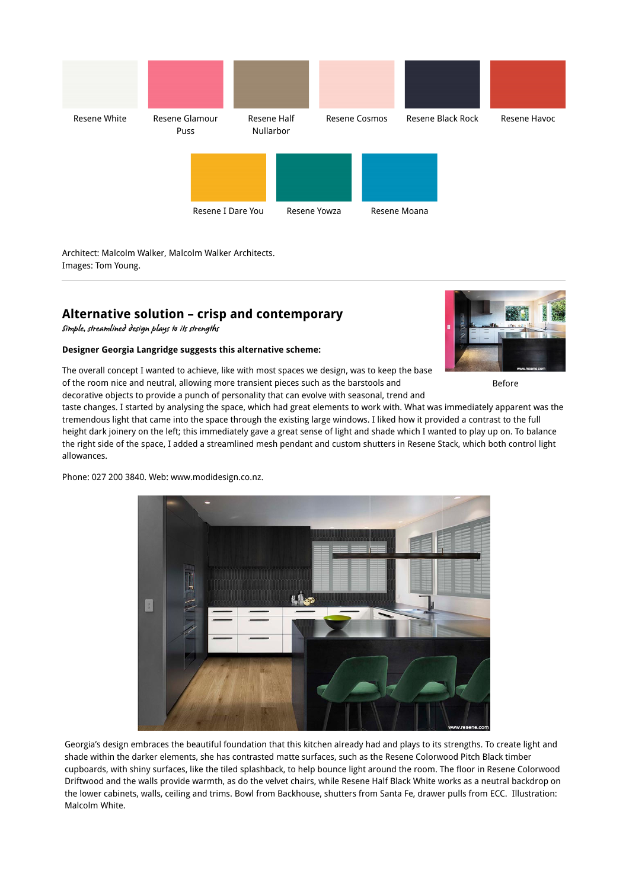

Architect: Malcolm Walker, Malcolm Walker Architects. Images: Tom Young.

## **Alternative solution – crisp and contemporary**

Simple, streamlined design plays to its strengths

#### **Designer Georgia Langridge suggests this alternative scheme:**



Before

The overall concept I wanted to achieve, like with most spaces we design, was to keep the base of the room nice and neutral, allowing more transient pieces such as the barstools and decorative objects to provide a punch of personality that can evolve with seasonal, trend and

taste changes. I started by analysing the space, which had great elements to work with. What was immediately apparent was the tremendous light that came into the space through the existing large windows. I liked how it provided a contrast to the full height dark joinery on the left; this immediately gave a great sense of light and shade which I wanted to play up on. To balance the right side of the space, I added a streamlined mesh pendant and custom shutters in Resene Stack, which both control light allowances.

Phone: 027 200 3840. Web: www.modidesign.co.nz.



Georgia's design embraces the beautiful foundation that this kitchen already had and plays to its strengths. To create light and shade within the darker elements, she has contrasted matte surfaces, such as the Resene Colorwood Pitch Black timber cupboards, with shiny surfaces, like the tiled splashback, to help bounce light around the room. The floor in Resene Colorwood Driftwood and the walls provide warmth, as do the velvet chairs, while Resene Half Black White works as a neutral backdrop on the lower cabinets, walls, ceiling and trims. Bowl from Backhouse, shutters from Santa Fe, drawer pulls from ECC. Illustration: Malcolm White.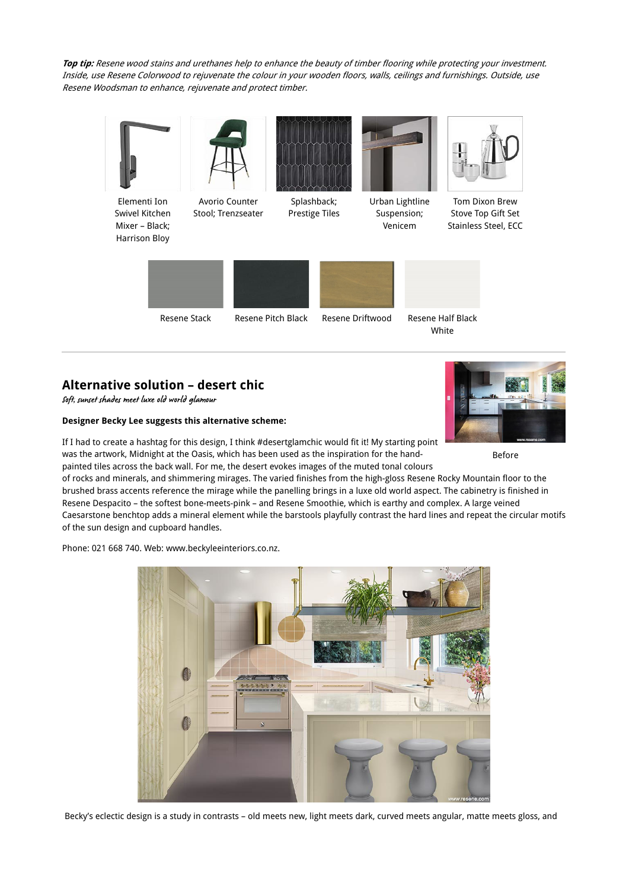**Top tip:** Resene wood stains and urethanes help to enhance the beauty of timber flooring while protecting your investment. Inside, use Resene Colorwood to rejuvenate the colour in your wooden floors, walls, ceilings and furnishings. Outside, use Resene Woodsman to enhance, rejuvenate and protect timber.



Elementi Ion Swivel Kitchen Mixer – Black; Harrison Bloy



Avorio Counter Stool; Trenzseater



Splashback; Prestige Tiles



Urban Lightline Suspension; Venicem



Tom Dixon Brew Stove Top Gift Set Stainless Steel, ECC





White



Soft, sunset shades meet luxe old world glamour

#### **Designer Becky Lee suggests this alternative scheme:**

If I had to create a hashtag for this design, I think #desertglamchic would fit it! My starting point was the artwork, Midnight at the Oasis, which has been used as the inspiration for the handpainted tiles across the back wall. For me, the desert evokes images of the muted tonal colours



Before

of rocks and minerals, and shimmering mirages. The varied finishes from the high-gloss Resene Rocky Mountain floor to the brushed brass accents reference the mirage while the panelling brings in a luxe old world aspect. The cabinetry is finished in Resene Despacito – the softest bone-meets-pink – and Resene Smoothie, which is earthy and complex. A large veined Caesarstone benchtop adds a mineral element while the barstools playfully contrast the hard lines and repeat the circular motifs of the sun design and cupboard handles.

Phone: 021 668 740. Web: www.beckyleeinteriors.co.nz.



Becky's eclectic design is a study in contrasts – old meets new, light meets dark, curved meets angular, matte meets gloss, and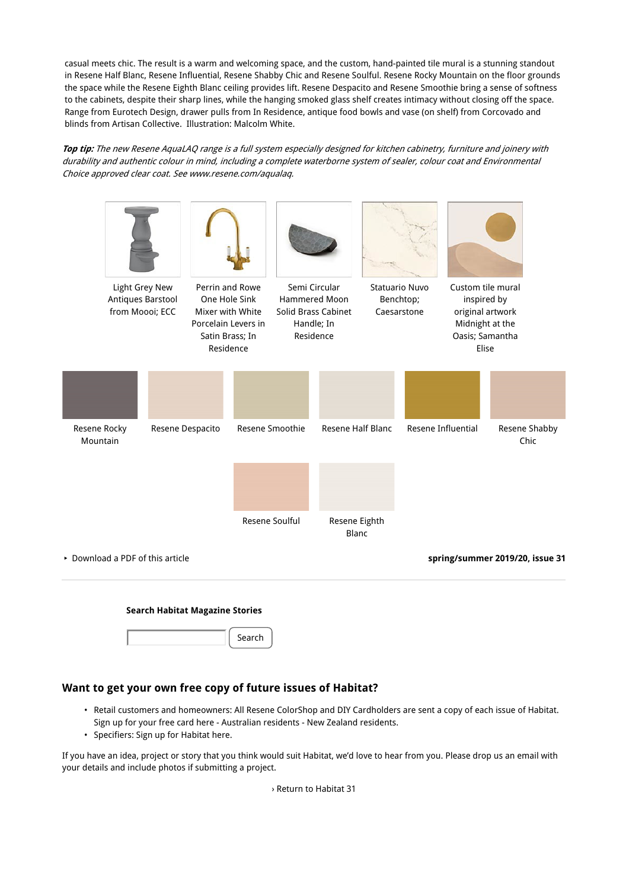casual meets chic. The result is a warm and welcoming space, and the custom, hand-painted tile mural is a stunning standout in Resene Half Blanc, Resene Influential, Resene Shabby Chic and Resene Soulful. Resene Rocky Mountain on the floor grounds the space while the Resene Eighth Blanc ceiling provides lift. Resene Despacito and Resene Smoothie bring a sense of softness to the cabinets, despite their sharp lines, while the hanging smoked glass shelf creates intimacy without closing off the space. Range from Eurotech Design, drawer pulls from In Residence, antique food bowls and vase (on shelf) from Corcovado and blinds from Artisan Collective. Illustration: Malcolm White.

**Top tip:** The new Resene AquaLAQ range is a full system especially designed for kitchen cabinetry, furniture and joinery with durability and authentic colour in mind, including a complete waterborne system of sealer, colour coat and Environmental Choice approved clear coat. See www.resene.com/aqualaq.



## **Want to get your own free copy of future issues of Habitat?**

- Retail customers and homeowners: All Resene ColorShop and DIY Cardholders are sent a copy of each issue of Habitat. Sign up for your free card here - Australian residents - New Zealand residents.
- Specifiers: Sign up for Habitat here.

If you have an idea, project or story that you think would suit Habitat, we'd love to hear from you. Please drop us an email with your details and include photos if submitting a project.

› Return to Habitat 31